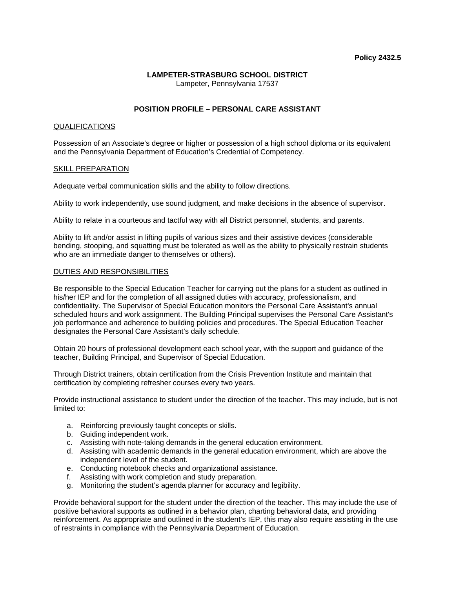## **Policy 2432.5**

#### **LAMPETER-STRASBURG SCHOOL DISTRICT** Lampeter, Pennsylvania 17537

# **POSITION PROFILE – PERSONAL CARE ASSISTANT**

#### QUALIFICATIONS

Possession of an Associate's degree or higher or possession of a high school diploma or its equivalent and the Pennsylvania Department of Education's Credential of Competency.

#### SKILL PREPARATION

Adequate verbal communication skills and the ability to follow directions.

Ability to work independently, use sound judgment, and make decisions in the absence of supervisor.

Ability to relate in a courteous and tactful way with all District personnel, students, and parents.

Ability to lift and/or assist in lifting pupils of various sizes and their assistive devices (considerable bending, stooping, and squatting must be tolerated as well as the ability to physically restrain students who are an immediate danger to themselves or others).

#### DUTIES AND RESPONSIBILITIES

Be responsible to the Special Education Teacher for carrying out the plans for a student as outlined in his/her IEP and for the completion of all assigned duties with accuracy, professionalism, and confidentiality. The Supervisor of Special Education monitors the Personal Care Assistant's annual scheduled hours and work assignment. The Building Principal supervises the Personal Care Assistant's job performance and adherence to building policies and procedures. The Special Education Teacher designates the Personal Care Assistant's daily schedule.

Obtain 20 hours of professional development each school year, with the support and guidance of the teacher, Building Principal, and Supervisor of Special Education.

Through District trainers, obtain certification from the Crisis Prevention Institute and maintain that certification by completing refresher courses every two years.

Provide instructional assistance to student under the direction of the teacher. This may include, but is not limited to:

- a. Reinforcing previously taught concepts or skills.
- b. Guiding independent work.
- c. Assisting with note-taking demands in the general education environment.
- d. Assisting with academic demands in the general education environment, which are above the independent level of the student.
- e. Conducting notebook checks and organizational assistance.
- f. Assisting with work completion and study preparation.
- g. Monitoring the student's agenda planner for accuracy and legibility.

Provide behavioral support for the student under the direction of the teacher. This may include the use of positive behavioral supports as outlined in a behavior plan, charting behavioral data, and providing reinforcement. As appropriate and outlined in the student's IEP, this may also require assisting in the use of restraints in compliance with the Pennsylvania Department of Education.